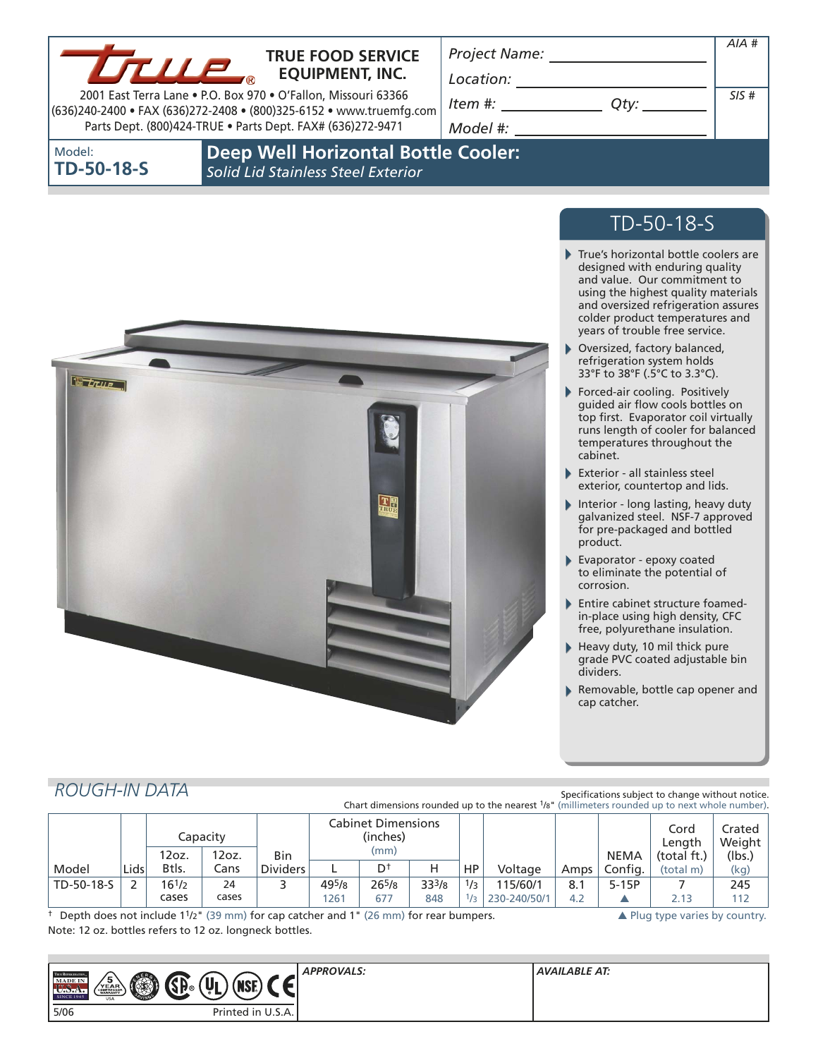Model:

**TD-50-18-S**

## **TRUE FOOD SERVICE EQUIPMENT, INC.**

*Location:* 

*Project Name:*

2001 East Terra Lane • P.O. Box 970 • O'Fallon, Missouri 63366 (636)240-2400 • FAX (636)272-2408 • (800)325-6152 • www.truemfg.com Parts Dept. (800)424-TRUE • Parts Dept. FAX# (636)272-9471

*Item #: Qty:*

*Model #:* 

| - 1<br>v<br>۰. |  |
|----------------|--|

*AIA #*

**Deep Well Horizontal Bottle Cooler:** *Solid Lid Stainless Steel Exterior*



# TD-50-18-S

- ь True's horizontal bottle coolers are designed with enduring quality and value. Our commitment to using the highest quality materials and oversized refrigeration assures colder product temperatures and years of trouble free service.
- Oversized, factory balanced, refrigeration system holds 33°F to 38°F (.5°C to 3.3°C).
- Forced-air cooling. Positively guided air flow cools bottles on top first. Evaporator coil virtually runs length of cooler for balanced temperatures throughout the cabinet.
- Exterior all stainless steel exterior, countertop and lids.
- Interior long lasting, heavy duty galvanized steel. NSF-7 approved for pre-packaged and bottled product.
- Evaporator epoxy coated to eliminate the potential of corrosion.
- Entire cabinet structure foamedin-place using high density, CFC free, polyurethane insulation.
- Heavy duty, 10 mil thick pure grade PVC coated adjustable bin dividers.
- Removable, bottle cap opener and cap catcher.

## *ROUGH-IN DATA*

Specifications subject to change without notice. Chart dimensions rounded up to the nearest 1/8" (millimeters rounded up to next whole number).

|            |      |            | Capacity |                 | <b>Cabinet Dimensions</b><br>(inches) |                      |            |               |              |             | Cord<br>Length | Crated<br>Weight |      |
|------------|------|------------|----------|-----------------|---------------------------------------|----------------------|------------|---------------|--------------|-------------|----------------|------------------|------|
|            |      | 12oz.      | 12oz.    | <b>Bin</b>      | (mm)                                  |                      |            |               |              | <b>NEMA</b> | (total ft.)    | (lbs.)           |      |
| Model      | Lids | Btls.      | Ians     | <b>Dividers</b> |                                       | $\mathsf{D}^\dagger$ |            | HP.           | Voltage      | Amps        | Config.        | (total m)        | (kg) |
| TD-50-18-S |      | $16^{1/2}$ | 24       |                 | 495/8                                 | $26^{5}/8$           | $33^{3}/8$ | 1/3           | 115/60/1     | 8.1         | $5-15P$        |                  | 245  |
|            |      | cases      | cases    |                 | 261                                   | 677                  | 848        | $\mathcal{L}$ | 230-240/50/1 | 4.2         |                | 2.13             | 112  |

† Depth does not include 11/2" (39 mm) for cap catcher and 1" (26 mm) for rear bumpers. ▲ Plug type varies by country. Note: 12 oz. bottles refers to 12 oz. longneck bottles.

| TRUE REFRIGER CHON<br>ЛÑ<br>(U)<br>MADE IN<br>/ы∧⊨`<br>$\left(\frac{1}{2} \right)$<br>'∏7®<br>NJI.<br><b>CONSTRUCTION</b><br><b>SINCE 1945</b><br><b>USA</b> | <b>APPROVALS:</b> | AVAILABLE AT: |
|--------------------------------------------------------------------------------------------------------------------------------------------------------------|-------------------|---------------|
| 5/06<br>Printed in U.S.A.                                                                                                                                    |                   |               |